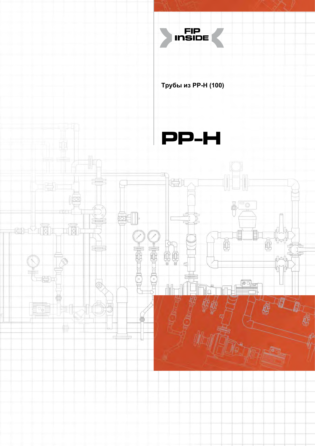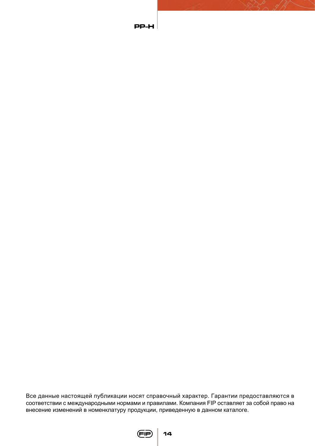Все данные настоящей публикации носят справочный характер. Гарантии предоставляются в соответствии с международными нормами и правилами. Компания FIP оставляет за собой право на внесение изменений в номенклатуру продукции, приведенную в данном каталоге.



**PP-H**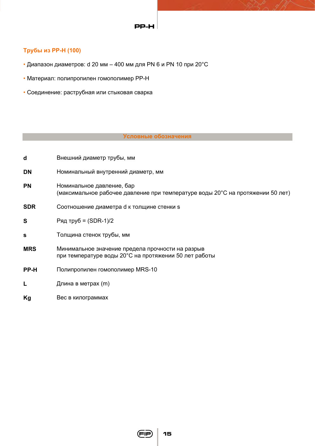### **PP-H**

# **Трубы из РР-Н (100)**

- Диапазон диаметров: d 20 мм 400 мм для PN 6 и PN 10 при 20°С
- Материал: полипропилен гомополимер РР-Н
- Соединение: раструбная или стыковая сварка

## **Условные обозначения**

| d          | Внешний диаметр трубы, мм                                                                                   |  |  |  |
|------------|-------------------------------------------------------------------------------------------------------------|--|--|--|
| <b>DN</b>  | Номинальный внутренний диаметр, мм                                                                          |  |  |  |
| <b>PN</b>  | Номинальное давление, бар<br>(максимальное рабочее давление при температуре воды 20°С на протяжении 50 лет) |  |  |  |
| <b>SDR</b> | Соотношение диаметра d к толщине стенки s                                                                   |  |  |  |
| S          | Ряд труб = $(SDR-1)/2$                                                                                      |  |  |  |
| s          | Толщина стенок трубы, мм                                                                                    |  |  |  |
| <b>MRS</b> | Минимальное значение предела прочности на разрыв<br>при температуре воды 20°С на протяжении 50 лет работы   |  |  |  |
| PP-H       | Полипропилен гомополимер MRS-10                                                                             |  |  |  |
| L          | Длина в метрах (m)                                                                                          |  |  |  |
| Kg         | Вес в килограммах                                                                                           |  |  |  |

**15**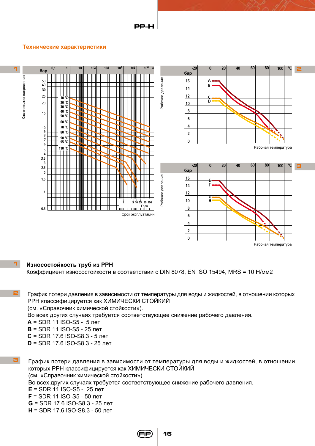### **PP-H**

#### **Технические характеристики**



#### $\overline{\mathbf{1}}$ **Износостойкость труб из РРН**

Коэффициент износостойкости в соответствии с DIN 8078, EN ISO 15494, MRS = 10 Н/мм2

**2** График потери давления в зависимости от температуры для воды и жидкостей, в отношении которых РРН классифицируется как ХИМИЧЕСКИ СТОЙКИЙ (см. «Справочник химической стойкости»).

Во всех других случаях требуется соответствующее снижение рабочего давления.

**А** = SDR 11 ISO-S5 - 5 лет

**B** = SDR 11 ISO-S5 - 25 лет

- **C** = SDR 17.6 ISO-S8.3 5 лет
- **D** = SDR 17.6 ISO-S8.3 25 лет
- **3** График потери давления в зависимости от температуры для воды и жидкостей, в отношении которых РРН классифицируется как ХИМИЧЕСКИ СТОЙКИЙ (см. «Справочник химической стойкости»).

Во всех других случаях требуется соответствующее снижение рабочего давления.

**Е** = SDR 11 ISO-S5 - 25 лет

**F** = SDR 11 ISO-S5 - 50 лет

**G** = SDR 17.6 ISO-S8.3 - 25 лет

**H** = SDR 17.6 ISO-S8.3 - 50 лет

**16**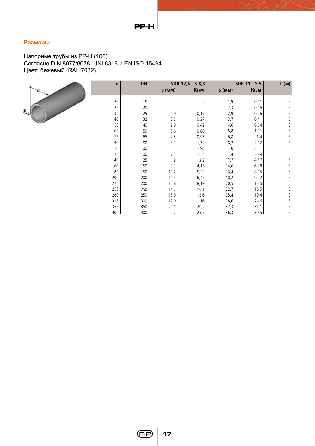# **Размеры**

Напорные трубы из РР-Н (100) Согласно DIN 8077/8078, UNI 8318 и EN ISO 15494 Цвет: бежевый (RAL 7032)



| d   | <b>DN</b> |          | SDR 17,6 - S 8,3 | SDR 11 - S 5 |      | L(M) |
|-----|-----------|----------|------------------|--------------|------|------|
|     |           | $s$ (MM) | Кг/м             | $s$ (MM)     | Кг/м |      |
| 20  | 15        |          |                  | 1,9          | 0,11 | 5    |
| 25  | 20        |          |                  | 2,3          | 0,16 | 5    |
| 32  | 25        | 1,9      | 0,17             | 2,9          | 0,26 | 5    |
| 40  | 32        | 2,3      | 0,27             | 3,7          | 0,41 | 5    |
| 50  | 40        | 2,9      | 0,42             | 4,6          | 0,64 | 5    |
| 63  | 50        | 3,6      | 0,66             | 5,8          | 1,01 | 5    |
| 75  | 65        | 4,3      | 0,93             | 6,8          | 1,4  | 5    |
| 90  | 80        | 5,1      | 1,32             | 8,2          | 2,02 | 5    |
| 110 | 100       | 6,3      | 1,98             | 10           | 3,01 | 5    |
| 125 | 100       | 7,1      | 1,54             | 11,4         | 3,89 | 5    |
| 140 | 125       | 8        | 3,2              | 12,7         | 4,87 | 5    |
| 160 | 150       | 9,1      | 4,15             | 14,6         | 6,38 | 5    |
| 180 | 150       | 10,2     | 5,22             | 16,4         | 8,05 | 5    |
| 200 | 200       | 11,4     | 6,47             | 18,2         | 9,92 | 5    |
| 225 | 200       | 12,8     | 8,19             | 20,5         | 12,6 | 5    |
| 250 | 250       | 14,2     | 10,1             | 22,7         | 15,5 | 5    |
| 280 | 250       | 15,9     | 12,6             | 25,4         | 19,4 | 5    |
| 315 | 300       | 17,9     | 16               | 28,6         | 24,6 | 5    |
| 355 | 350       | 20,1     | 20,2             | 32,3         | 31,1 | 5    |
| 400 | 400       | 22,7     | 25,7             | 36,3         | 39,5 | 5    |